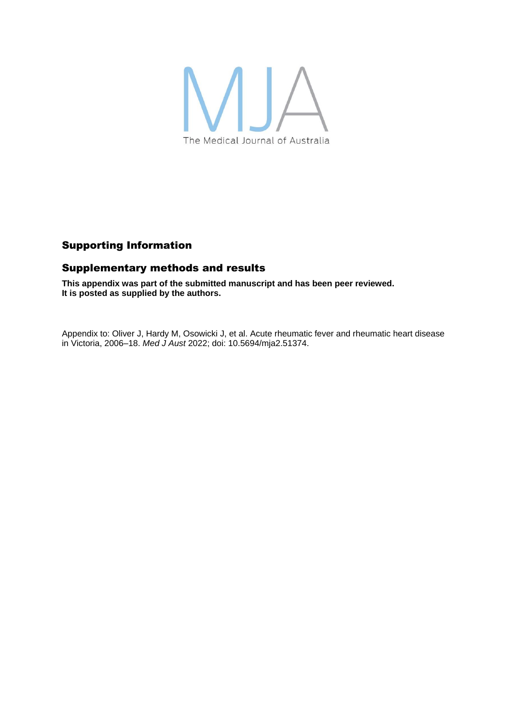

## Supporting Information

## Supplementary methods and results

**This appendix was part of the submitted manuscript and has been peer reviewed. It is posted as supplied by the authors.**

Appendix to: Oliver J, Hardy M, Osowicki J, et al. Acute rheumatic fever and rheumatic heart disease in Victoria, 2006–18. *Med J Aust* 2022; doi: 10.5694/mja2.51374.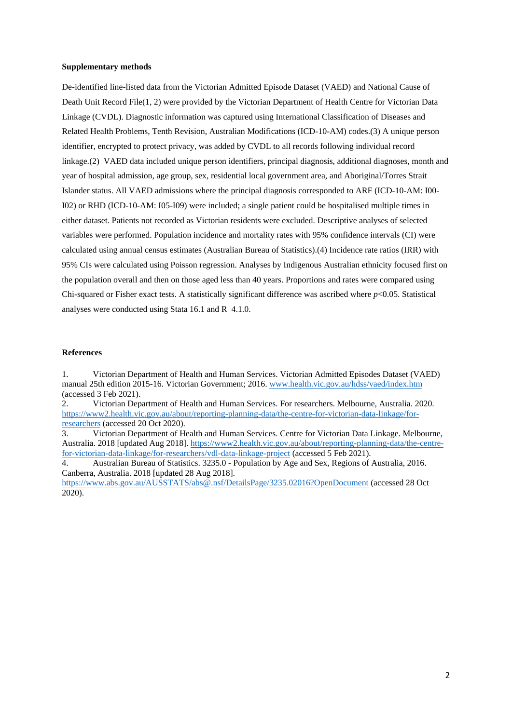## **Supplementary methods**

De-identified line-listed data from the Victorian Admitted Episode Dataset (VAED) and National Cause of Death Unit Record File(1, 2) were provided by the Victorian Department of Health Centre for Victorian Data Linkage (CVDL). Diagnostic information was captured using International Classification of Diseases and Related Health Problems, Tenth Revision, Australian Modifications (ICD-10-AM) codes.(3) A unique person identifier, encrypted to protect privacy, was added by CVDL to all records following individual record linkage.(2) VAED data included unique person identifiers, principal diagnosis, additional diagnoses, month and year of hospital admission, age group, sex, residential local government area, and Aboriginal/Torres Strait Islander status. All VAED admissions where the principal diagnosis corresponded to ARF (ICD-10-AM: I00- I02) or RHD (ICD-10-AM: I05-I09) were included; a single patient could be hospitalised multiple times in either dataset. Patients not recorded as Victorian residents were excluded. Descriptive analyses of selected variables were performed. Population incidence and mortality rates with 95% confidence intervals (CI) were calculated using annual census estimates (Australian Bureau of Statistics).(4) Incidence rate ratios (IRR) with 95% CIs were calculated using Poisson regression. Analyses by Indigenous Australian ethnicity focused first on the population overall and then on those aged less than 40 years. Proportions and rates were compared using Chi-squared or Fisher exact tests. A statistically significant difference was ascribed where *p*<0.05. Statistical analyses were conducted using Stata 16.1 and R 4.1.0.

## **References**

1. Victorian Department of Health and Human Services. Victorian Admitted Episodes Dataset (VAED) manual 25th edition 2015-16. Victorian Government; 2016. [www.health.vic.gov.au/hdss/vaed/index.htm](http://www.health.vic.gov.au/hdss/vaed/index.htm) (accessed 3 Feb 2021).

2. Victorian Department of Health and Human Services. For researchers. Melbourne, Australia. 2020. [https://www2.health.vic.gov.au/about/reporting-planning-data/the-centre-for-victorian-data-linkage/for](https://www2.health.vic.gov.au/about/reporting-planning-data/the-centre-for-victorian-data-linkage/for-researchers)[researchers](https://www2.health.vic.gov.au/about/reporting-planning-data/the-centre-for-victorian-data-linkage/for-researchers) (accessed 20 Oct 2020).

3. Victorian Department of Health and Human Services. Centre for Victorian Data Linkage. Melbourne, Australia. 2018 [updated Aug 2018][. https://www2.health.vic.gov.au/about/reporting-planning-data/the-centre](https://www2.health.vic.gov.au/about/reporting-planning-data/the-centre-for-victorian-data-linkage/for-researchers/vdl-data-linkage-project)[for-victorian-data-linkage/for-researchers/vdl-data-linkage-project](https://www2.health.vic.gov.au/about/reporting-planning-data/the-centre-for-victorian-data-linkage/for-researchers/vdl-data-linkage-project) (accessed 5 Feb 2021).

4. Australian Bureau of Statistics. 3235.0 - Population by Age and Sex, Regions of Australia, 2016. Canberra, Australia. 2018 [updated 28 Aug 2018].

<https://www.abs.gov.au/AUSSTATS/abs@.nsf/DetailsPage/3235.02016?OpenDocument> (accessed 28 Oct 2020).